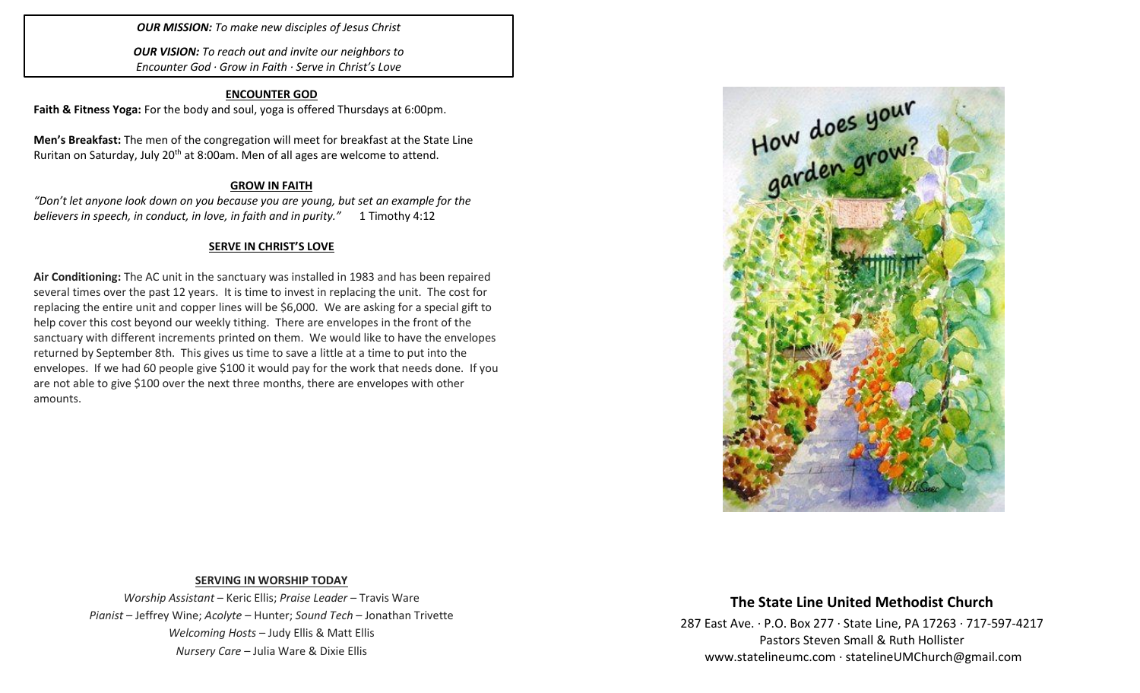*OUR MISSION: To make new disciples of Jesus Christ*

*OUR VISION: To reach out and invite our neighbors to Encounter God · Grow in Faith · Serve in Christ's Love*

## **ENCOUNTER GOD**

**Faith & Fitness Yoga:** For the body and soul, yoga is offered Thursdays at 6:00pm.

**Men's Breakfast:** The men of the congregation will meet for breakfast at the State Line Ruritan on Saturday, July 20<sup>th</sup> at 8:00am. Men of all ages are welcome to attend.

## **GROW IN FAITH**

*"Don't let anyone look down on you because you are young, but set an example for the believers in speech, in conduct, in love, in faith and in purity."* 1 Timothy 4:12

## **SERVE IN CHRIST'S LOVE**

**Air Conditioning:** The AC unit in the sanctuary was installed in 1983 and has been repaired several times over the past 12 years. It is time to invest in replacing the unit. The cost for replacing the entire unit and copper lines will be \$6,000. We are asking for a special gift to help cover this cost beyond our weekly tithing. There are envelopes in the front of the sanctuary with different increments printed on them. We would like to have the envelopes returned by September 8th. This gives us time to save a little at a time to put into the envelopes. If we had 60 people give \$100 it would pay for the work that needs done. If you are not able to give \$100 over the next three months, there are envelopes with other amounts.



## **SERVING IN WORSHIP TODAY**

*Worship Assistant* – Keric Ellis; *Praise Leader* – Travis Ware *Pianist* – Jeffrey Wine; *Acolyte* – Hunter; *Sound Tech* – Jonathan Trivette *Welcoming Hosts* – Judy Ellis & Matt Ellis *Nursery Care* – Julia Ware & Dixie Ellis

# **The State Line United Methodist Church**

287 East Ave. · P.O. Box 277 · State Line, PA 17263 · 717-597-4217 Pastors Steven Small & Ruth Hollister [www.statelineumc.com](http://www.statelineumc.com/) · statelineUMChurch@gmail.com